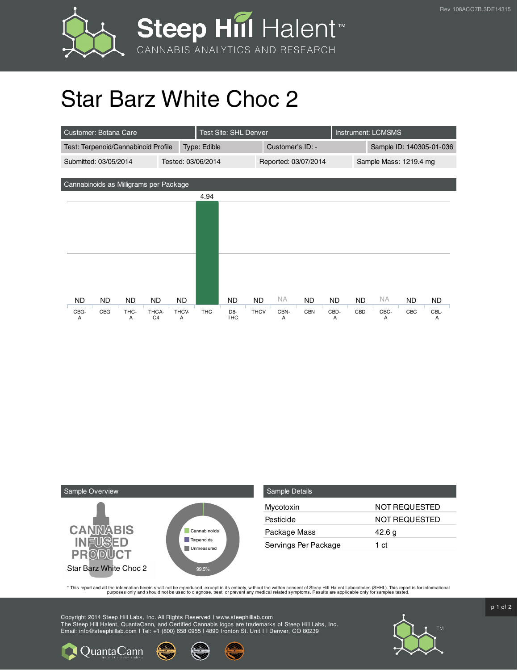

## Star Barz White Choc 2

| Customer: Botana Care                       |                  |                         |              | Test Site: SHL Denver |                              |                      |           |            |                          | <b>Instrument: LCMSMS</b> |           |     |           |  |
|---------------------------------------------|------------------|-------------------------|--------------|-----------------------|------------------------------|----------------------|-----------|------------|--------------------------|---------------------------|-----------|-----|-----------|--|
| Test: Terpenoid/Cannabinoid Profile         |                  |                         | Type: Edible |                       |                              | Customer's ID: -     |           |            | Sample ID: 140305-01-036 |                           |           |     |           |  |
| Submitted: 03/05/2014<br>Tested: 03/06/2014 |                  |                         |              |                       |                              | Reported: 03/07/2014 |           |            | Sample Mass: 1219.4 mg   |                           |           |     |           |  |
|                                             |                  |                         |              |                       |                              |                      |           |            |                          |                           |           |     |           |  |
| Cannabinoids as Milligrams per Package      |                  |                         |              |                       |                              |                      |           |            |                          |                           |           |     |           |  |
|                                             |                  |                         |              | 4.94                  |                              |                      |           |            |                          |                           |           |     |           |  |
|                                             |                  |                         |              |                       |                              |                      |           |            |                          |                           |           |     |           |  |
|                                             |                  |                         |              |                       |                              |                      |           |            |                          |                           |           |     |           |  |
|                                             |                  |                         |              |                       |                              |                      |           |            |                          |                           |           |     |           |  |
|                                             |                  |                         |              |                       |                              |                      |           |            |                          |                           |           |     |           |  |
|                                             |                  |                         |              |                       |                              |                      |           |            |                          |                           |           |     |           |  |
|                                             |                  |                         |              |                       |                              |                      |           |            |                          |                           |           |     |           |  |
|                                             |                  |                         |              |                       |                              |                      |           |            |                          |                           |           |     |           |  |
| ND.                                         | <b>ND</b><br>ND. | ND.                     | ND.          |                       | ND                           | <b>ND</b>            | NA.       | <b>ND</b>  | <b>ND</b>                | <b>ND</b>                 | <b>NA</b> | ND. | ND.       |  |
| CBG-<br>A                                   | CBG<br>THC-<br>A | THCA-<br>C <sub>4</sub> | THCV-<br>A   | <b>THC</b>            | D <sub>8</sub><br><b>THC</b> | <b>THCV</b>          | CBN-<br>A | <b>CBN</b> | CBD-<br>A                | CBD                       | CBC-<br>A | CBC | CBL-<br>A |  |



**Q** Quanta Cann

| <b>Sample Details</b> |                      |
|-----------------------|----------------------|
| Mycotoxin             | <b>NOT REQUESTED</b> |
| Pesticide             | <b>NOT REQUESTED</b> |
| Package Mass          | 42.6 g               |
| Servings Per Package  | 1 ct                 |

This report and all the information herein shall not be reporduced, except in its entirety, without the written consent of Steep Hill Halent Laboratories (SHHL). This report is for informational all the instance, treat, or

Copyright 2014 Steep Hill Labs, Inc. All Rights Reserved | www.steephilllab.com The Steep Hill Halent, QuantaCann, and Certified Cannabis logos are trademarks of Steep Hill Labs, Inc. Email: info@steephilllab.com | Tel: +1 (800) 658 0955 | 4890 Ironton St. Unit I | Denver, CO 80239